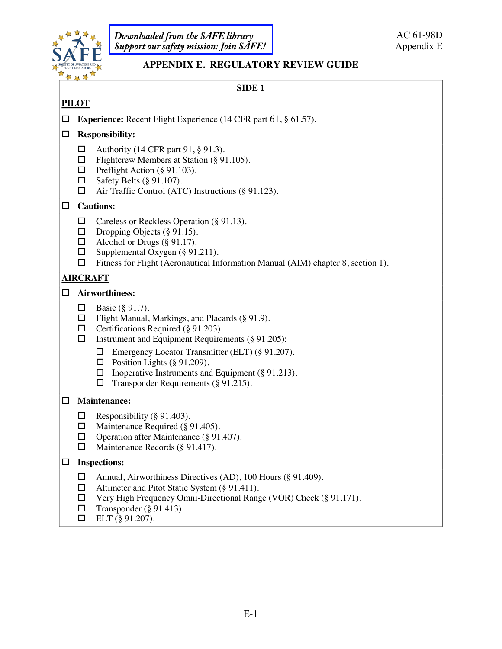

*Downloaded from the SAFE library [Support our safety mission: Join SAFE!](http://bit.ly/JoinSAFE)*

# **APPENDIX E. REGULATORY REVIEW GUIDE**

# **SIDE 1**

# **PILOT**

! **Experience:** Recent Flight Experience (14 CFR part 61, § 61.57).

# ! **Responsibility:**

- $\Box$  Authority (14 CFR part 91, § 91.3).
- $\Box$  Flightcrew Members at Station (§ 91.105).
- $\Box$  Preflight Action (§ 91.103).
- $\Box$  Safety Belts (§ 91.107).
- $\Box$  Air Traffic Control (ATC) Instructions (§ 91.123).

## ! **Cautions:**

- $\Box$  Careless or Reckless Operation (§ 91.13).
- $\Box$  Dropping Objects (§ 91.15).
- 
- □ Alcohol or Drugs (§ 91.17).<br>□ Supplemental Oxygen (§ 91. Supplemental Oxygen (§ 91.211).
- $\Box$  Fitness for Flight (Aeronautical Information Manual (AIM) chapter 8, section 1).

# **AIRCRAFT**

### ! **Airworthiness:**

- $\Box$  Basic (§ 91.7).
- $\Box$  Flight Manual, Markings, and Placards (§ 91.9).
- $\Box$  Certifications Required (§ 91.203).
- $\Box$  Instrument and Equipment Requirements (§ 91.205):
	- $\Box$  Emergency Locator Transmitter (ELT) (§ 91.207).
	- $\Box$  Position Lights (§ 91.209).
	- $\Box$  Inoperative Instruments and Equipment (§ 91.213).
	- $\Box$  Transponder Requirements (§ 91.215).

## ! **Maintenance:**

- $\Box$  Responsibility (§ 91.403).
- $\Box$  Maintenance Required (§ 91.405).
- $\Box$  Operation after Maintenance (§ 91.407).
- $\Box$  Maintenance Records (§ 91.417).

## ! **Inspections:**

- □ Annual, Airworthiness Directives (AD), 100 Hours (§ 91.409).
- $\Box$  Altimeter and Pitot Static System (§ 91.411).
- $\Box$  Very High Frequency Omni-Directional Range (VOR) Check (§ 91.171).
- $\Box$  Transponder (§ 91.413).
- $\Box$  ELT (§ 91.207).